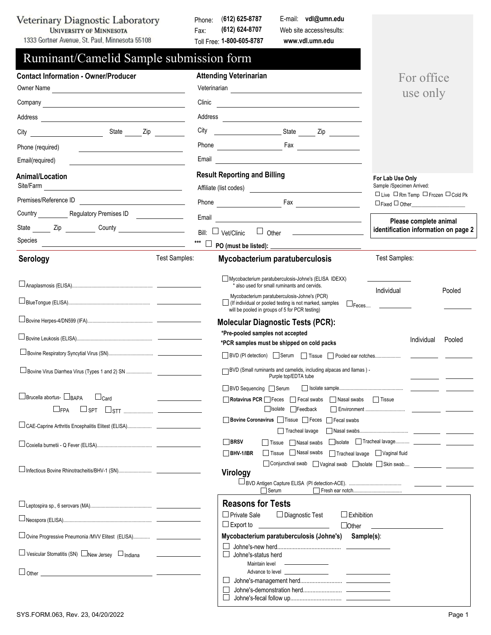Veterinary Diagnostic Laboratory UNIVERSITY OF MINNESOTA

1333 Gortner Avenue, St. Paul, Minnesota 55108

Phone: (**612) 625-8787** Fax: Toll Free: **1-800-605-8787 (612) 624-8707**

Web site access/results: **www.vdl.umn.edu** E-mail: **vdl@umn.edu**

| Ruminant/Camelid Sample submission form                                                                                                                                                                                                                 |                                                                                                                                                                                                                                                      |
|---------------------------------------------------------------------------------------------------------------------------------------------------------------------------------------------------------------------------------------------------------|------------------------------------------------------------------------------------------------------------------------------------------------------------------------------------------------------------------------------------------------------|
| <b>Contact Information - Owner/Producer</b>                                                                                                                                                                                                             | <b>Attending Veterinarian</b><br>For office                                                                                                                                                                                                          |
| Owner Name                                                                                                                                                                                                                                              | use only<br>Clinic                                                                                                                                                                                                                                   |
| Company company company company company company company company company company company company company company                                                                                                                                         | <u> 1980 - Andrea Station Barbara, amerikan personal (h. 1980).</u>                                                                                                                                                                                  |
|                                                                                                                                                                                                                                                         |                                                                                                                                                                                                                                                      |
|                                                                                                                                                                                                                                                         | City<br>and a state of the state of the state of the state of the state of the state of the state of the state of the s                                                                                                                              |
| Phone (required)<br><u> 1989 - Andrea State Barbara, poeta esperanto-</u>                                                                                                                                                                               |                                                                                                                                                                                                                                                      |
| Email(required)<br><u>and the state of the state of the state of the state of the state of the state of the state of the state of the state of the state of the state of the state of the state of the state of the state of the state of the state</u> | Email                                                                                                                                                                                                                                                |
| <b>Animal/Location</b><br>Site/Farm                                                                                                                                                                                                                     | <b>Result Reporting and Billing</b><br>For Lab Use Only<br>Sample /Specimen Arrived:                                                                                                                                                                 |
| Premises/Reference ID                                                                                                                                                                                                                                   | $\Box$ Live $\Box$ Rm Temp $\Box$ Frozen $\Box$ Cold Pk<br>Phone <b>Fax Fax Fax Fax Fax Fax Fax Fax Fax Fax Fax Fax Fax Fax Fax Fax Fax Fax Fax Fax Fax Fax Fax Fax Fax Fax Fax Fax Fax Fax Fax Fax Fax Fax Fax Fax</b><br>$\Box$ Fixed $\Box$ Other |
| Country _____________ Regulatory Premises ID _________________                                                                                                                                                                                          | Email<br><u> 1980 - Johann Barbara, martin a bhaile an t-Alban an t-Alban an t-Alban an t-Alban an t-Alban an t-Alban an t-</u>                                                                                                                      |
|                                                                                                                                                                                                                                                         | Please complete animal<br>identification information on page 2<br>Bill: $\Box$ Vet/Clinic $\Box$ Other $\Box$                                                                                                                                        |
| Species<br><u> 1989 - Johann Harry Harry Harry Harry Harry Harry Harry Harry Harry Harry Harry Harry Harry Harry Harry Harry</u>                                                                                                                        | ***                                                                                                                                                                                                                                                  |
| Test Samples:<br>Serology                                                                                                                                                                                                                               | <b>Test Samples:</b><br><b>Mycobacterium paratuberculosis</b>                                                                                                                                                                                        |
|                                                                                                                                                                                                                                                         | Mycobacterium paratuberculosis-Johne's (ELISA IDEXX)<br>* also used for small ruminants and cervids.                                                                                                                                                 |
|                                                                                                                                                                                                                                                         | Individual<br>Pooled<br>Mycobacterium paratuberculosis-Johne's (PCR)<br>$\Box$ (If individual or pooled testing is not marked, samples<br>$\square$ Feces $\qquad \qquad$<br>will be pooled in groups of 5 for PCR testing)                          |
|                                                                                                                                                                                                                                                         | <b>Molecular Diagnostic Tests (PCR):</b>                                                                                                                                                                                                             |
|                                                                                                                                                                                                                                                         | *Pre-pooled samples not accepted                                                                                                                                                                                                                     |
|                                                                                                                                                                                                                                                         | Individual<br>Pooled<br>*PCR samples must be shipped on cold packs                                                                                                                                                                                   |
|                                                                                                                                                                                                                                                         | □ BVD (PI detection) Serum □ Tissue □ Pooled ear notches                                                                                                                                                                                             |
| Bovine Virus Diarrhea Virus (Types 1 and 2) SN                                                                                                                                                                                                          | BVD (Small ruminants and camelids, including alpacas and llamas) -<br>Purple top/EDTA tube                                                                                                                                                           |
| □ Brucella abortus- □ BAPA<br>$\sqcup_{\sf Card}$                                                                                                                                                                                                       | BVD Sequencing Serum<br>Rotavirus PCR Feces Fecal swabs Nasal swabs Tissue                                                                                                                                                                           |
| LIFPA<br>$\Box$ stt<br>SPT                                                                                                                                                                                                                              | Isolate Feedback                                                                                                                                                                                                                                     |
|                                                                                                                                                                                                                                                         | □ Bovine Coronavirus □ Tissue □ Feces □ Fecal swabs<br>Tracheal lavage                                                                                                                                                                               |
|                                                                                                                                                                                                                                                         | □BRSV<br>Tissue Nasal swabs<br>□ Tissue ■ Nasal swabs<br>$\Box$ BHV-1/IBR<br>Tracheal lavage Vaginal fluid                                                                                                                                           |
|                                                                                                                                                                                                                                                         | □ Conjunctival swab △ Vaginal swab △ Skin swab △ The Conjunctival swab △ Vaginal swab △ Skin swab                                                                                                                                                    |
|                                                                                                                                                                                                                                                         | Virology<br>Serum                                                                                                                                                                                                                                    |
|                                                                                                                                                                                                                                                         | <b>Reasons for Tests</b>                                                                                                                                                                                                                             |
|                                                                                                                                                                                                                                                         | $\Box$ Private Sale<br>$\Box$ Exhibition<br>$\Box$ Diagnostic Test                                                                                                                                                                                   |
|                                                                                                                                                                                                                                                         | $\Box$ Export to<br>$\Box$ Other                                                                                                                                                                                                                     |
| □ Ovine Progressive Pneumonia /MVV Elitest (ELISA) _______________                                                                                                                                                                                      | Mycobacterium paratuberculosis (Johne's) Sample(s):                                                                                                                                                                                                  |
| □ Vesicular Stomatitis (SN) □ New Jersey □ Indiana                                                                                                                                                                                                      | Johne's-status herd                                                                                                                                                                                                                                  |
|                                                                                                                                                                                                                                                         | the control of the control of the<br>Maintain level<br>Advance to level __________________<br><u> The Common State Common</u>                                                                                                                        |
|                                                                                                                                                                                                                                                         |                                                                                                                                                                                                                                                      |
|                                                                                                                                                                                                                                                         |                                                                                                                                                                                                                                                      |